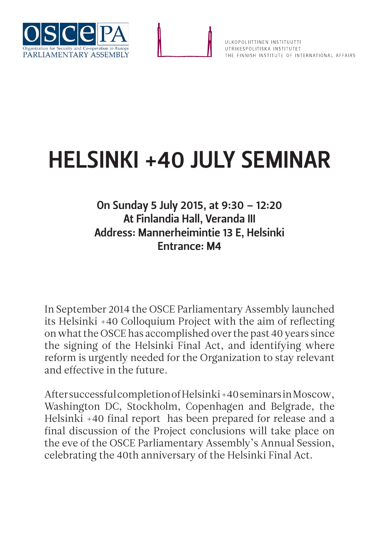

## HELSINKI +40 JULY SEMINAR

## On Sunday 5 July 2015, at 9:30 – 12:20 At Finlandia Hall, Veranda III Address: Mannerheimintie 13 E, Helsinki Entrance: M4

In September 2014 the OSCE Parliamentary Assembly launched its Helsinki +40 Colloquium Project with the aim of reflecting on what the OSCE has accomplished over the past 40 years since the signing of the Helsinki Final Act, and identifying where reform is urgently needed for the Organization to stay relevant and effective in the future.

After successful completion of Helsinki +40 seminars in Moscow, Washington DC, Stockholm, Copenhagen and Belgrade, the Helsinki +40 final report has been prepared for release and a final discussion of the Project conclusions will take place on the eve of the OSCE Parliamentary Assembly's Annual Session, celebrating the 40th anniversary of the Helsinki Final Act.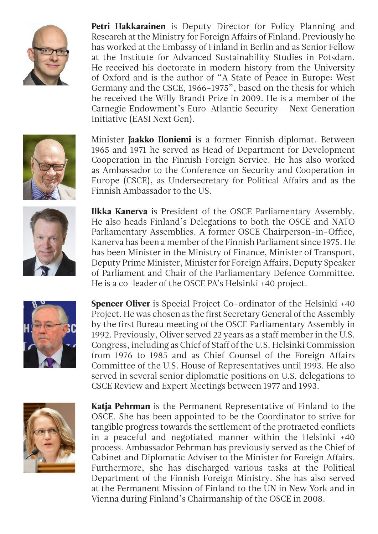

Petri Hakkarainen is Deputy Director for Policy Planning and Research at the Ministry for Foreign Affairs of Finland. Previously he has worked at the Embassy of Finland in Berlin and as Senior Fellow at the Institute for Advanced Sustainability Studies in Potsdam. He received his doctorate in modern history from the University of Oxford and is the author of "A State of Peace in Europe: West Germany and the CSCE, 1966-1975", based on the thesis for which he received the Willy Brandt Prize in 2009. He is a member of the Carnegie Endowment's Euro-Atlantic Security – Next Generation Initiative (EASI Next Gen).



Minister **Jaakko Iloniemi** is a former Finnish diplomat. Between 1965 and 1971 he served as Head of Department for Development Cooperation in the Finnish Foreign Service. He has also worked as Ambassador to the Conference on Security and Cooperation in Europe (CSCE), as Undersecretary for Political Affairs and as the Finnish Ambassador to the US.



Ilkka Kanerva is President of the OSCE Parliamentary Assembly. He also heads Finland's Delegations to both the OSCE and NATO Parliamentary Assemblies. A former OSCE Chairperson-in-Office, Kanerva has been a member of the Finnish Parliament since 1975. He has been Minister in the Ministry of Finance, Minister of Transport, Deputy Prime Minister, Minister for Foreign Affairs, Deputy Speaker of Parliament and Chair of the Parliamentary Defence Committee. He is a co-leader of the OSCE PA's Helsinki +40 project.



Spencer Oliver is Special Project Co-ordinator of the Helsinki +40 Project. He was chosen as the first Secretary General of the Assembly by the first Bureau meeting of the OSCE Parliamentary Assembly in 1992. Previously, Oliver served 22 years as a staff member in the U.S. Congress, including as Chief of Staff of the U.S. Helsinki Commission from 1976 to 1985 and as Chief Counsel of the Foreign Affairs Committee of the U.S. House of Representatives until 1993. He also served in several senior diplomatic positions on U.S. delegations to CSCE Review and Expert Meetings between 1977 and 1993.



Katja Pehrman is the Permanent Representative of Finland to the OSCE. She has been appointed to be the Coordinator to strive for tangible progress towards the settlement of the protracted conflicts in a peaceful and negotiated manner within the Helsinki +40 process. Ambassador Pehrman has previously served as the Chief of Cabinet and Diplomatic Adviser to the Minister for Foreign Affairs. Furthermore, she has discharged various tasks at the Political Department of the Finnish Foreign Ministry. She has also served at the Permanent Mission of Finland to the UN in New York and in Vienna during Finland's Chairmanship of the OSCE in 2008.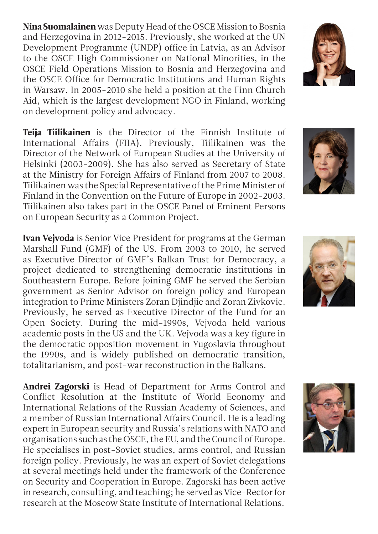Nina Suomalainen was Deputy Head of the OSCE Mission to Bosnia and Herzegovina in 2012-2015. Previously, she worked at the UN Development Programme (UNDP) office in Latvia, as an Advisor to the OSCE High Commissioner on National Minorities, in the OSCE Field Operations Mission to Bosnia and Herzegovina and the OSCE Office for Democratic Institutions and Human Rights in Warsaw. In 2005-2010 she held a position at the Finn Church Aid, which is the largest development NGO in Finland, working on development policy and advocacy.

Teija Tiilikainen is the Director of the Finnish Institute of International Affairs (FIIA). Previously, Tiilikainen was the Director of the Network of European Studies at the University of Helsinki (2003-2009). She has also served as Secretary of State at the Ministry for Foreign Affairs of Finland from 2007 to 2008. Tiilikainen was the Special Representative of the Prime Minister of Finland in the Convention on the Future of Europe in 2002-2003. Tiilikainen also takes part in the OSCE Panel of Eminent Persons on European Security as a Common Project.

Ivan Vejvoda is Senior Vice President for programs at the German Marshall Fund (GMF) of the US. From 2003 to 2010, he served as Executive Director of GMF's Balkan Trust for Democracy, a project dedicated to strengthening democratic institutions in Southeastern Europe. Before joining GMF he served the Serbian government as Senior Advisor on foreign policy and European integration to Prime Ministers Zoran Djindjic and Zoran Zivkovic. Previously, he served as Executive Director of the Fund for an Open Society. During the mid-1990s, Vejvoda held various academic posts in the US and the UK. Vejvoda was a key figure in the democratic opposition movement in Yugoslavia throughout the 1990s, and is widely published on democratic transition, totalitarianism, and post-war reconstruction in the Balkans.

Andrei Zagorski is Head of Department for Arms Control and Conflict Resolution at the Institute of World Economy and International Relations of the Russian Academy of Sciences, and a member of Russian International Affairs Council. He is a leading expert in European security and Russia's relations with NATO and organisations such as the OSCE, the EU, and the Council of Europe. He specialises in post-Soviet studies, arms control, and Russian foreign policy. Previously, he was an expert of Soviet delegations at several meetings held under the framework of the Conference on Security and Cooperation in Europe. Zagorski has been active in research, consulting, and teaching; he served as Vice-Rector for research at the Moscow State Institute of International Relations.